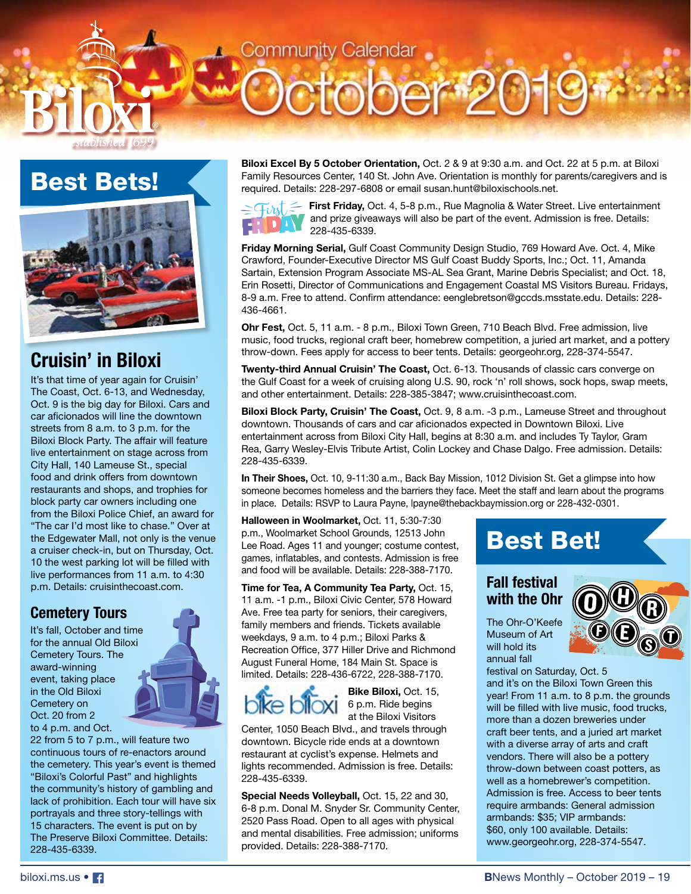## Best Bets!

stablished |



## **Cruisin' in Biloxi**

It's that time of year again for Cruisin' The Coast, Oct. 6-13, and Wednesday, Oct. 9 is the big day for Biloxi. Cars and car aficionados will line the downtown streets from 8 a.m. to 3 p.m. for the Biloxi Block Party. The affair will feature live entertainment on stage across from City Hall, 140 Lameuse St., special food and drink offers from downtown restaurants and shops, and trophies for block party car owners including one from the Biloxi Police Chief, an award for "The car I'd most like to chase." Over at the Edgewater Mall, not only is the venue a cruiser check-in, but on Thursday, Oct. 10 the west parking lot will be filled with live performances from 11 a.m. to 4:30 p.m. Details: cruisinthecoast.com.

### **Cemetery Tours**

It's fall, October and time for the annual Old Biloxi Cemetery Tours. The award-winning event, taking place in the Old Biloxi Cemetery on Oct. 20 from 2 to 4 p.m. and Oct.

22 from 5 to 7 p.m., will feature two continuous tours of re-enactors around the cemetery. This year's event is themed "Biloxi's Colorful Past" and highlights the community's history of gambling and lack of prohibition. Each tour will have six portrayals and three story-tellings with 15 characters. The event is put on by The Preserve Biloxi Committee. Details: 228-435-6339.

**Biloxi Excel By 5 October Orientation,** Oct. 2 & 9 at 9:30 a.m. and Oct. 22 at 5 p.m. at Biloxi Family Resources Center, 140 St. John Ave. Orientation is monthly for parents/caregivers and is required. Details: 228-297-6808 or email susan.hunt@biloxischools.net.

ober 201



Community Calendar

**First Friday, Oct. 4, 5-8 p.m., Rue Magnolia & Water Street. Live entertainment** and prize giveaways will also be part of the event. Admission is free. Details: 228-435-6339.

**Friday Morning Serial,** Gulf Coast Community Design Studio, 769 Howard Ave. Oct. 4, Mike Crawford, Founder-Executive Director MS Gulf Coast Buddy Sports, Inc.; Oct. 11, Amanda Sartain, Extension Program Associate MS-AL Sea Grant, Marine Debris Specialist; and Oct. 18, Erin Rosetti, Director of Communications and Engagement Coastal MS Visitors Bureau. Fridays, 8-9 a.m. Free to attend. Confirm attendance: eenglebretson@gccds.msstate.edu. Details: 228- 436-4661.

**Ohr Fest,** Oct. 5, 11 a.m. - 8 p.m., Biloxi Town Green, 710 Beach Blvd. Free admission, live music, food trucks, regional craft beer, homebrew competition, a juried art market, and a pottery throw-down. Fees apply for access to beer tents. Details: georgeohr.org, 228-374-5547.

**Twenty-third Annual Cruisin' The Coast,** Oct. 6-13. Thousands of classic cars converge on the Gulf Coast for a week of cruising along U.S. 90, rock 'n' roll shows, sock hops, swap meets, and other entertainment. Details: 228-385-3847; www.cruisinthecoast.com.

**Biloxi Block Party, Cruisin' The Coast,** Oct. 9, 8 a.m. -3 p.m., Lameuse Street and throughout downtown. Thousands of cars and car aficionados expected in Downtown Biloxi. Live entertainment across from Biloxi City Hall, begins at 8:30 a.m. and includes Ty Taylor, Gram Rea, Garry Wesley-Elvis Tribute Artist, Colin Lockey and Chase Dalgo. Free admission. Details: 228-435-6339.

**In Their Shoes,** Oct. 10, 9-11:30 a.m., Back Bay Mission, 1012 Division St. Get a glimpse into how someone becomes homeless and the barriers they face. Meet the staff and learn about the programs in place. Details: RSVP to Laura Payne, lpayne@thebackbaymission.org or 228-432-0301.

**Halloween in Woolmarket,** Oct. 11, 5:30-7:30 p.m., Woolmarket School Grounds, 12513 John Lee Road. Ages 11 and younger; costume contest, games, inflatables, and contests. Admission is free and food will be available. Details: 228-388-7170.

**Time for Tea, A Community Tea Party,** Oct. 15, 11 a.m. -1 p.m., Biloxi Civic Center, 578 Howard Ave. Free tea party for seniors, their caregivers, family members and friends. Tickets available weekdays, 9 a.m. to 4 p.m.; Biloxi Parks & Recreation Office, 377 Hiller Drive and Richmond August Funeral Home, 184 Main St. Space is limited. Details: 228-436-6722, 228-388-7170.

# ke biloxi

**Bike Biloxi,** Oct. 15, 6 p.m. Ride begins at the Biloxi Visitors

Center, 1050 Beach Blvd., and travels through downtown. Bicycle ride ends at a downtown restaurant at cyclist's expense. Helmets and lights recommended. Admission is free. Details: 228-435-6339.

**Special Needs Volleyball,** Oct. 15, 22 and 30, 6-8 p.m. Donal M. Snyder Sr. Community Center, 2520 Pass Road. Open to all ages with physical and mental disabilities. Free admission; uniforms provided. Details: 228-388-7170.

## Best Bet!

### **Fall festival with the Ohr**



The Ohr-O'Keefe Museum of Art will hold its annual fall

festival on Saturday, Oct. 5 and it's on the Biloxi Town Green this year! From 11 a.m. to 8 p.m. the grounds will be filled with live music, food trucks, more than a dozen breweries under craft beer tents, and a juried art market with a diverse array of arts and craft vendors. There will also be a pottery throw-down between coast potters, as well as a homebrewer's competition. Admission is free. Access to beer tents require armbands: General admission armbands: \$35; VIP armbands: \$60, only 100 available. Details: www.georgeohr.org, 228-374-5547.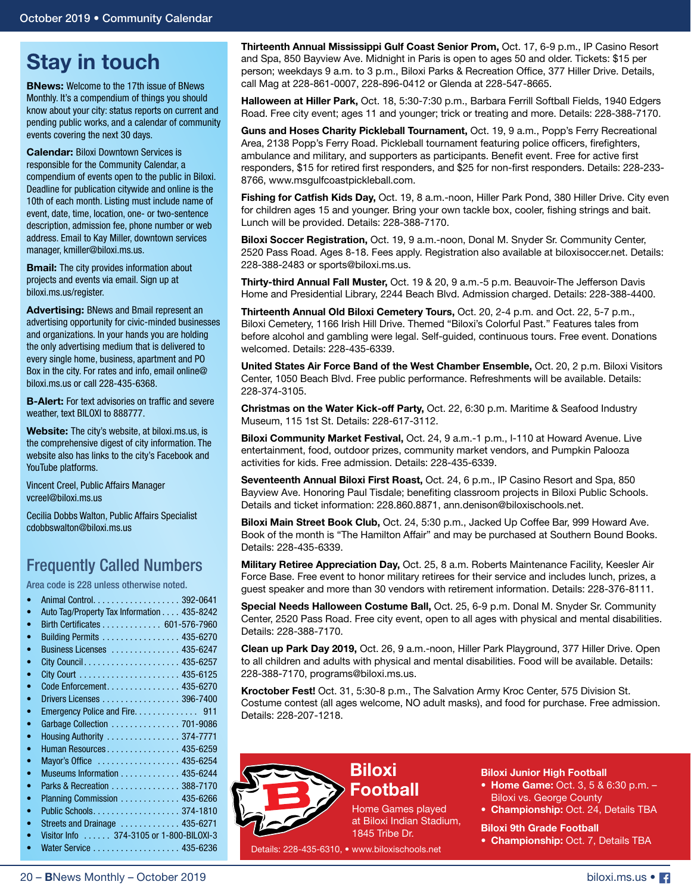## **Stay in touch**

**BNews:** Welcome to the 17th issue of BNews Monthly. It's a compendium of things you should know about your city: status reports on current and pending public works, and a calendar of community events covering the next 30 days.

**Calendar: Biloxi Downtown Services is** responsible for the Community Calendar, a compendium of events open to the public in Biloxi. Deadline for publication citywide and online is the 10th of each month. Listing must include name of event, date, time, location, one- or two-sentence description, admission fee, phone number or web address. Email to Kay Miller, downtown services manager, kmiller@biloxi.ms.us.

**Bmail:** The city provides information about projects and events via email. Sign up at biloxi.ms.us/register.

**Advertising:** BNews and Bmail represent an advertising opportunity for civic-minded businesses and organizations. In your hands you are holding the only advertising medium that is delivered to every single home, business, apartment and PO Box in the city. For rates and info, email online@ biloxi.ms.us or call 228-435-6368.

**B-Alert:** For text advisories on traffic and severe weather, text BILOXI to 888777.

**Website:** The city's website, at biloxi.ms.us, is the comprehensive digest of city information. The website also has links to the city's Facebook and YouTube platforms.

Vincent Creel, Public Affairs Manager vcreel@biloxi.ms.us

Cecilia Dobbs Walton, Public Affairs Specialist cdobbswalton@biloxi.ms.us

### Frequently Called Numbers

Area code is 228 unless otherwise noted.

| Auto Tag/Property Tax Information 435-8242 |
|--------------------------------------------|
| Birth Certificates 601-576-7960            |
| Building Permits 435-6270                  |
| Business Licenses  435-6247                |
|                                            |
|                                            |
| Code Enforcement. 435-6270                 |
| Drivers Licenses 396-7400                  |
|                                            |
| Garbage Collection  701-9086               |
| Housing Authority  374-7771                |
| Human Resources 435-6259                   |
| Mayor's Office  435-6254                   |
| Museums Information 435-6244               |
| Parks & Recreation 388-7170                |
| Planning Commission 435-6266               |
|                                            |
| Streets and Drainage  435-6271             |
| Visitor Info 374-3105 or 1-800-BILOXI-3    |
| Water Service 435-6236                     |
|                                            |

**Thirteenth Annual Mississippi Gulf Coast Senior Prom,** Oct. 17, 6-9 p.m., IP Casino Resort and Spa, 850 Bayview Ave. Midnight in Paris is open to ages 50 and older. Tickets: \$15 per person; weekdays 9 a.m. to 3 p.m., Biloxi Parks & Recreation Office, 377 Hiller Drive. Details, call Mag at 228-861-0007, 228-896-0412 or Glenda at 228-547-8665.

**Halloween at Hiller Park,** Oct. 18, 5:30-7:30 p.m., Barbara Ferrill Softball Fields, 1940 Edgers Road. Free city event; ages 11 and younger; trick or treating and more. Details: 228-388-7170.

**Guns and Hoses Charity Pickleball Tournament,** Oct. 19, 9 a.m., Popp's Ferry Recreational Area, 2138 Popp's Ferry Road. Pickleball tournament featuring police officers, firefighters, ambulance and military, and supporters as participants. Benefit event. Free for active first responders, \$15 for retired first responders, and \$25 for non-first responders. Details: 228-233- 8766, www.msgulfcoastpickleball.com.

**Fishing for Catfish Kids Day,** Oct. 19, 8 a.m.-noon, Hiller Park Pond, 380 Hiller Drive. City even for children ages 15 and younger. Bring your own tackle box, cooler, fishing strings and bait. Lunch will be provided. Details: 228-388-7170.

**Biloxi Soccer Registration,** Oct. 19, 9 a.m.-noon, Donal M. Snyder Sr. Community Center, 2520 Pass Road. Ages 8-18. Fees apply. Registration also available at biloxisoccer.net. Details: 228-388-2483 or sports@biloxi.ms.us.

**Thirty-third Annual Fall Muster,** Oct. 19 & 20, 9 a.m.-5 p.m. Beauvoir-The Jefferson Davis Home and Presidential Library, 2244 Beach Blvd. Admission charged. Details: 228-388-4400.

**Thirteenth Annual Old Biloxi Cemetery Tours,** Oct. 20, 2-4 p.m. and Oct. 22, 5-7 p.m., Biloxi Cemetery, 1166 Irish Hill Drive. Themed "Biloxi's Colorful Past." Features tales from before alcohol and gambling were legal. Self-guided, continuous tours. Free event. Donations welcomed. Details: 228-435-6339.

**United States Air Force Band of the West Chamber Ensemble,** Oct. 20, 2 p.m. Biloxi Visitors Center, 1050 Beach Blvd. Free public performance. Refreshments will be available. Details: 228-374-3105.

**Christmas on the Water Kick-off Party,** Oct. 22, 6:30 p.m. Maritime & Seafood Industry Museum, 115 1st St. Details: 228-617-3112.

**Biloxi Community Market Festival,** Oct. 24, 9 a.m.-1 p.m., I-110 at Howard Avenue. Live entertainment, food, outdoor prizes, community market vendors, and Pumpkin Palooza activities for kids. Free admission. Details: 228-435-6339.

**Seventeenth Annual Biloxi First Roast,** Oct. 24, 6 p.m., IP Casino Resort and Spa, 850 Bayview Ave. Honoring Paul Tisdale; benefiting classroom projects in Biloxi Public Schools. Details and ticket information: 228.860.8871, ann.denison@biloxischools.net.

**Biloxi Main Street Book Club,** Oct. 24, 5:30 p.m., Jacked Up Coffee Bar, 999 Howard Ave. Book of the month is "The Hamilton Affair" and may be purchased at Southern Bound Books. Details: 228-435-6339.

**Military Retiree Appreciation Day,** Oct. 25, 8 a.m. Roberts Maintenance Facility, Keesler Air Force Base. Free event to honor military retirees for their service and includes lunch, prizes, a guest speaker and more than 30 vendors with retirement information. Details: 228-376-8111.

**Special Needs Halloween Costume Ball,** Oct. 25, 6-9 p.m. Donal M. Snyder Sr. Community Center, 2520 Pass Road. Free city event, open to all ages with physical and mental disabilities. Details: 228-388-7170.

**Clean up Park Day 2019,** Oct. 26, 9 a.m.-noon, Hiller Park Playground, 377 Hiller Drive. Open to all children and adults with physical and mental disabilities. Food will be available. Details: 228-388-7170, programs@biloxi.ms.us.

**Kroctober Fest!** Oct. 31, 5:30-8 p.m., The Salvation Army Kroc Center, 575 Division St. Costume contest (all ages welcome, NO adult masks), and food for purchase. Free admission. Details: 228-207-1218.



## **Football**

Home Games played at Biloxi Indian Stadium, 1845 Tribe Dr.

Details: 228-435-6310, • www.biloxischools.net

**Biloxi Junior High Football**

Biloxi vs. George County

**Biloxi 9th Grade Football**

**• Home Game:** Oct. 3, 5 & 6:30 p.m. –

**• Championship:** Oct. 24, Details TBA

**• Championship:** Oct. 7, Details TBA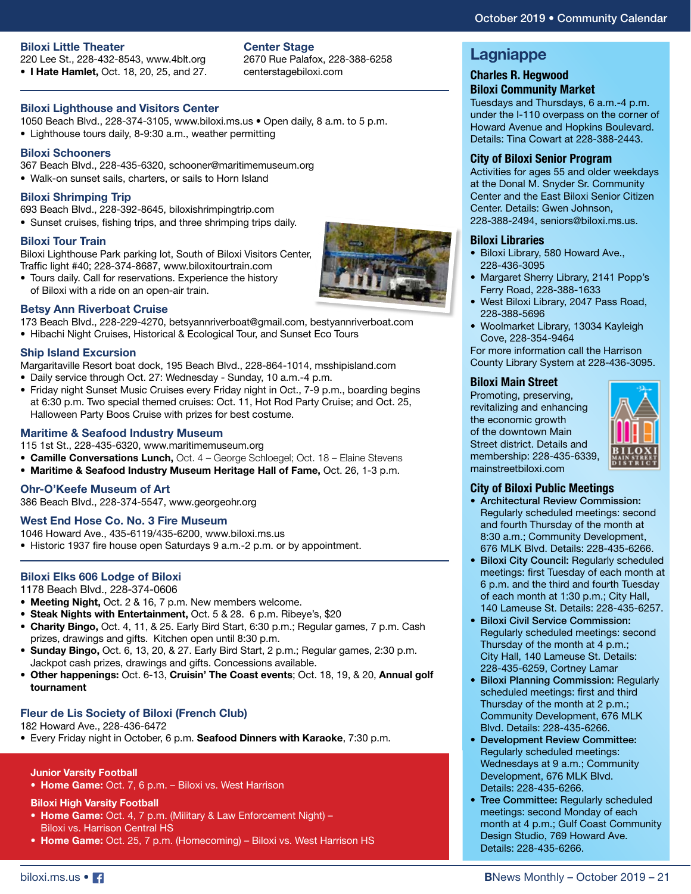#### **Biloxi Little Theater**

220 Lee St., 228-432-8543, www.4blt.org **• I Hate Hamlet,** Oct. 18, 20, 25, and 27.

#### **Center Stage**

2670 Rue Palafox, 228-388-6258 centerstagebiloxi.com

#### **Biloxi Lighthouse and Visitors Center**

1050 Beach Blvd., 228-374-3105, www.biloxi.ms.us • Open daily, 8 a.m. to 5 p.m.

• Lighthouse tours daily, 8-9:30 a.m., weather permitting

#### **Biloxi Schooners**

367 Beach Blvd., 228-435-6320, schooner@maritimemuseum.org

• Walk-on sunset sails, charters, or sails to Horn Island

#### **Biloxi Shrimping Trip**

693 Beach Blvd., 228-392-8645, biloxishrimpingtrip.com • Sunset cruises, fishing trips, and three shrimping trips daily.

#### **Biloxi Tour Train**

Biloxi Lighthouse Park parking lot, South of Biloxi Visitors Center, Traffic light #40; 228-374-8687, www.biloxitourtrain.com

• Tours daily. Call for reservations. Experience the history of Biloxi with a ride on an open-air train.



173 Beach Blvd., 228-229-4270, betsyannriverboat@gmail.com, bestyannriverboat.com

• Hibachi Night Cruises, Historical & Ecological Tour, and Sunset Eco Tours

#### **Ship Island Excursion**

Margaritaville Resort boat dock, 195 Beach Blvd., 228-864-1014, msshipisland.com

- Daily service through Oct. 27: Wednesday Sunday, 10 a.m.-4 p.m.
- Friday night Sunset Music Cruises every Friday night in Oct., 7-9 p.m., boarding begins at 6:30 p.m. Two special themed cruises: Oct. 11, Hot Rod Party Cruise; and Oct. 25, Halloween Party Boos Cruise with prizes for best costume.

#### **Maritime & Seafood Industry Museum**

115 1st St., 228-435-6320, www.maritimemuseum.org

- **• Camille Conversations Lunch,** Oct. 4 George Schloegel; Oct. 18 Elaine Stevens
- **• Maritime & Seafood Industry Museum Heritage Hall of Fame,** Oct. 26, 1-3 p.m.

#### **Ohr-O'Keefe Museum of Art**

386 Beach Blvd., 228-374-5547, www.georgeohr.org

#### **West End Hose Co. No. 3 Fire Museum**

1046 Howard Ave., 435-6119/435-6200, www.biloxi.ms.us

• Historic 1937 fire house open Saturdays 9 a.m.-2 p.m. or by appointment.

#### **Biloxi Elks 606 Lodge of Biloxi**

- 1178 Beach Blvd., 228-374-0606
- **• Meeting Night,** Oct. 2 & 16, 7 p.m. New members welcome.
- **• Steak Nights with Entertainment,** Oct. 5 & 28. 6 p.m. Ribeye's, \$20
- **• Charity Bingo,** Oct. 4, 11, & 25. Early Bird Start, 6:30 p.m.; Regular games, 7 p.m. Cash prizes, drawings and gifts. Kitchen open until 8:30 p.m.
- **• Sunday Bingo,** Oct. 6, 13, 20, & 27. Early Bird Start, 2 p.m.; Regular games, 2:30 p.m. Jackpot cash prizes, drawings and gifts. Concessions available.
- **• Other happenings:** Oct. 6-13, **Cruisin' The Coast events**; Oct. 18, 19, & 20, **Annual golf tournament**

#### **Fleur de Lis Society of Biloxi (French Club)**

182 Howard Ave., 228-436-6472

• Every Friday night in October, 6 p.m. **Seafood Dinners with Karaoke**, 7:30 p.m.

#### **Junior Varsity Football**

**• Home Game:** Oct. 7, 6 p.m. – Biloxi vs. West Harrison

#### **Biloxi High Varsity Football**

- **• Home Game:** Oct. 4, 7 p.m. (Military & Law Enforcement Night) Biloxi vs. Harrison Central HS
- **Home Game:** Oct. 25, 7 p.m. (Homecoming) Biloxi vs. West Harrison HS

### **Lagniappe**

#### **Charles R. Hegwood Biloxi Community Market**

Tuesdays and Thursdays, 6 a.m.-4 p.m. under the I-110 overpass on the corner of Howard Avenue and Hopkins Boulevard. Details: Tina Cowart at 228-388-2443.

#### **City of Biloxi Senior Program**

Activities for ages 55 and older weekdays at the Donal M. Snyder Sr. Community Center and the East Biloxi Senior Citizen Center. Details: Gwen Johnson, 228-388-2494, seniors@biloxi.ms.us.

#### **Biloxi Libraries**

- Biloxi Library, 580 Howard Ave., 228-436-3095
- Margaret Sherry Library, 2141 Popp's Ferry Road, 228-388-1633
- West Biloxi Library, 2047 Pass Road, 228-388-5696
- Woolmarket Library, 13034 Kayleigh Cove, 228-354-9464

For more information call the Harrison County Library System at 228-436-3095.

#### **Biloxi Main Street**

Promoting, preserving, revitalizing and enhancing the economic growth of the downtown Main Street district. Details and membership: 228-435-6339, mainstreetbiloxi.com



#### **City of Biloxi Public Meetings**

- Architectural Review Commission: Regularly scheduled meetings: second and fourth Thursday of the month at 8:30 a.m.; Community Development, 676 MLK Blvd. Details: 228-435-6266.
- Biloxi City Council: Regularly scheduled meetings: first Tuesday of each month at 6 p.m. and the third and fourth Tuesday of each month at 1:30 p.m.; City Hall, 140 Lameuse St. Details: 228-435-6257.
- Biloxi Civil Service Commission: Regularly scheduled meetings: second Thursday of the month at 4 p.m.; City Hall, 140 Lameuse St. Details: 228-435-6259, Cortney Lamar
- Biloxi Planning Commission: Regularly scheduled meetings: first and third Thursday of the month at 2 p.m.; Community Development, 676 MLK Blvd. Details: 228-435-6266.
- Development Review Committee: Regularly scheduled meetings: Wednesdays at 9 a.m.; Community Development, 676 MLK Blvd. Details: 228-435-6266.
- Tree Committee: Regularly scheduled meetings: second Monday of each month at 4 p.m.; Gulf Coast Community Design Studio, 769 Howard Ave. Details: 228-435-6266.